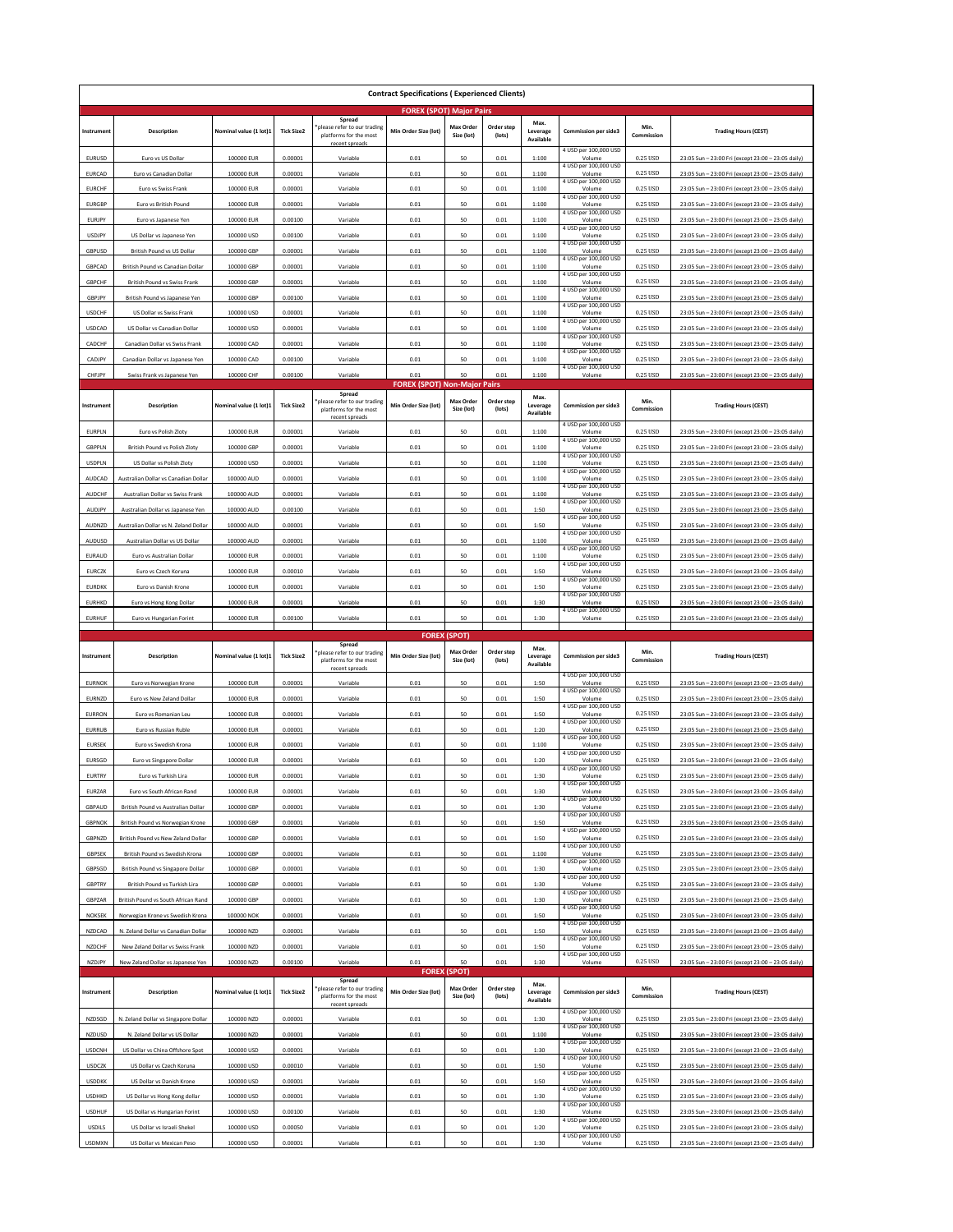| <b>Contract Specifications (Experienced Clients)</b> |                                                                       |                          |                    |                                                                                   |                                     |                                                       |                      |                               |                                                          |                      |                                                                                                          |
|------------------------------------------------------|-----------------------------------------------------------------------|--------------------------|--------------------|-----------------------------------------------------------------------------------|-------------------------------------|-------------------------------------------------------|----------------------|-------------------------------|----------------------------------------------------------|----------------------|----------------------------------------------------------------------------------------------------------|
|                                                      |                                                                       |                          |                    |                                                                                   | <b>FOREX (SPOT) Major Pairs</b>     |                                                       |                      |                               |                                                          |                      |                                                                                                          |
| Instrument                                           | Description                                                           | Nominal value (1 lot)1   | <b>Tick Size2</b>  | Spread<br>please refer to our trading<br>platforms for the most<br>recent spreads | Min Order Size (lot)                | <b>Max Order</b><br>Size (lot)                        | Order step<br>(lots) | Max.<br>Leverage<br>Available | <b>Commission per side3</b>                              | Min.<br>Commission   | <b>Trading Hours (CEST)</b>                                                                              |
| <b>EURUSD</b>                                        | Euro vs US Dollar                                                     | 100000 EUR               | 0.00001            | Variable                                                                          | 0.01                                | 50                                                    | 0.01                 | 1:100                         | 4 USD per 100,000 USD<br>Volume                          | 0.25 USD             | 23:05 Sun - 23:00 Fri (except 23:00 - 23:05 daily)                                                       |
| EURCAD                                               | Euro vs Canadian Dollar                                               | 100000 EUR               | 0.00001            | Variable                                                                          | 0.01                                | 50                                                    | 0.01                 | 1:100                         | 4 USD per 100,000 USD<br>Volume                          | 0.25 USD             | 23:05 Sun - 23:00 Fri (except 23:00 - 23:05 daily)                                                       |
| <b>EURCHF</b>                                        | Euro vs Swiss Frank                                                   | 100000 EUR               | 0.00001            | Variable                                                                          | 0.01                                | 50                                                    | 0.01                 | 1:100                         | 4 USD per 100,000 USD<br>Volume                          | 0.25 USD             | 23:05 Sun - 23:00 Fri (except 23:00 - 23:05 daily)                                                       |
| <b>EURGBP</b>                                        | Euro vs British Pound                                                 | 100000 EUR               | 0.00001            | Variable                                                                          | 0.01                                | 50                                                    | 0.01                 | 1:100                         | 4 USD per 100,000 USD<br>Volume                          | 0.25 USD             | 23:05 Sun - 23:00 Fri (except 23:00 - 23:05 daily)                                                       |
| EURJPY                                               | Euro vs Japanese Yen                                                  | 100000 EUR               | 0.00100            | Variable                                                                          | 0.01                                | 50                                                    | 0.01                 | 1:100                         | 4 USD per 100,000 USD<br>Volume                          | 0.25 USD             | 23:05 Sun - 23:00 Fri (except 23:00 - 23:05 daily                                                        |
| <b>USDJPY</b>                                        | US Dollar vs Japanese Yen                                             | 100000 USD               | 0.00100            | Variable                                                                          | 0.01                                | 50                                                    | 0.01                 | 1:100                         | 4 USD per 100,000 USD<br>Volume                          | 0.25 USD             | 23:05 Sun - 23:00 Fri (except 23:00 - 23:05 daily)                                                       |
| GBPUSD                                               | British Pound vs US Dollar                                            | 100000 GBP               | 0.00001            | Variable                                                                          | 0.01                                | 50                                                    | 0.01                 | 1:100                         | 4 USD per 100,000 USD<br>Volume                          | 0.25 USD             | 23:05 Sun - 23:00 Fri (except 23:00 - 23:05 daily)                                                       |
| GBPCAD                                               | British Pound vs Canadian Dolla                                       | 100000 GBP               | 0.00001            | Variable                                                                          | 0.01                                | 50                                                    | 0.01                 | 1:100                         | 4 USD per 100,000 USD<br>Volume                          | 0.25 USD             | 23:05 Sun - 23:00 Fri (except 23:00 - 23:05 daily                                                        |
| <b>GBPCHF</b>                                        | British Pound vs Swiss Frank                                          | 100000 GBP               | 0.00001            | Variable                                                                          | 0.01                                | 50                                                    | 0.01                 | 1:100                         | 4 USD per 100,000 USD<br>Volume                          | 0.25 USD             | 23:05 Sun - 23:00 Fri (except 23:00 - 23:05 daily)                                                       |
| GBPJPY                                               | British Pound vs Japanese Yen                                         | 100000 GBP               | 0.00100            | Variable                                                                          | 0.01                                | 50                                                    | 0.01                 | 1:100                         | 4 USD per 100,000 USD<br>Volume                          | 0.25 USD             | 23:05 Sun - 23:00 Fri (except 23:00 - 23:05 daily)                                                       |
| <b>USDCHF</b>                                        | US Dollar vs Swiss Frank                                              | 100000 USD               | 0.00001            | Variable                                                                          | 0.01                                | 50                                                    | 0.01                 | 1:100                         | 4 USD per 100,000 USD<br>Volume                          | 0.25 USD             | 23:05 Sun - 23:00 Fri (except 23:00 - 23:05 daily                                                        |
| <b>USDCAD</b>                                        | US Dollar vs Canadian Dollar                                          | 100000 USD               | 0.00001            | Variable                                                                          | 0.01                                | 50                                                    | 0.01                 | 1:100                         | 4 USD per 100,000 USD<br>Volume                          | 0.25 USD             | 23:05 Sun - 23:00 Fri (except 23:00 - 23:05 daily)                                                       |
| CADCHF                                               | Canadian Dollar vs Swiss Frank                                        | 100000 CAD               | 0.00001            | Variable                                                                          | 0.01                                | 50                                                    | 0.01                 | 1:100                         | 4 USD per 100,000 USD<br>Volume                          | 0.25 USD             | 23:05 Sun - 23:00 Fri (except 23:00 - 23:05 daily)                                                       |
| CADJPY                                               | Canadian Dollar vs Japanese Yen                                       | 100000 CAD               | 0.00100            | Variable                                                                          | 0.01                                | 50                                                    | 0.01                 | 1:100                         | 4 USD per 100,000 USD<br>Volume<br>4 USD per 100,000 USD | 0.25 USD             | 23:05 Sun - 23:00 Fri (except 23:00 - 23:05 daily)                                                       |
| CHFJPY                                               | Swiss Frank vs Japanese Yen                                           | 100000 CHF               | 0.00100            | Variable                                                                          | 0.01                                | 50                                                    | 0.01                 | 1:100                         | Volume                                                   | 0.25 USD             | 23:05 Sun - 23:00 Fri (except 23:00 - 23:05 daily)                                                       |
|                                                      |                                                                       |                          |                    | Spread                                                                            | <b>FOREX (SPOT) Non-Major Pairs</b> |                                                       |                      | Max.                          |                                                          |                      |                                                                                                          |
| Instrument                                           | Description                                                           | Nominal value (1 lot)1   | <b>Tick Size2</b>  | please refer to our trading<br>platforms for the most<br>recent spreads           | Min Order Size (lot)                | Max Order<br>Size (lot)                               | Order step<br>(lots) | Leverage<br>Available         | <b>Commission per side3</b><br>4 USD per 100,000 USD     | Min.<br>Commission   | <b>Trading Hours (CEST)</b>                                                                              |
| <b>EURPLN</b>                                        | Euro vs Polish Zloty                                                  | 100000 EUR               | 0.00001            | Variable                                                                          | 0.01                                | 50                                                    | 0.01                 | 1:100                         | Volume<br>4 USD per 100,000 USD                          | 0.25 USD             | 23:05 Sun - 23:00 Fri (except 23:00 - 23:05 daily)                                                       |
| GBPPLN                                               | British Pound vs Polish Zloty                                         | 100000 GBP               | 0.00001            | Variable                                                                          | 0.01                                | 50                                                    | 0.01                 | 1:100                         | Volume<br>4 USD per 100,000 USD                          | 0.25 USD             | 23:05 Sun - 23:00 Fri (except 23:00 - 23:05 daily)                                                       |
| <b>USDPLN</b>                                        | US Dollar vs Polish Zloty                                             | 100000 USD               | 0.00001            | Variable                                                                          | 0.01                                | 50                                                    | 0.01                 | 1:100                         | Volume<br>4 USD per 100,000 USD                          | 0.25 USD             | 23:05 Sun - 23:00 Fri (except 23:00 - 23:05 daily                                                        |
| AUDCAD                                               | Australian Dollar vs Canadian Dollar                                  | 100000 AUD               | 0.00001            | Variable                                                                          | 0.01                                | 50                                                    | 0.01                 | 1:100                         | Volume<br>4 USD per 100,000 USD                          | 0.25 USD             | 23:05 Sun - 23:00 Fri (except 23:00 - 23:05 daily)                                                       |
| AUDCHF                                               | Australian Dollar vs Swiss Frank                                      | 100000 AUD               | 0.00001            | Variable                                                                          | 0.01                                | 50                                                    | 0.01                 | 1:100                         | Volume<br>4 USD per 100,000 USD                          | 0.25 USD             | 23:05 Sun - 23:00 Fri (except 23:00 - 23:05 daily)                                                       |
| AUDJPY                                               | Australian Dollar vs Japanese Yen                                     | 100000 AUD               | 0.00100            | Variable                                                                          | 0.01                                | 50                                                    | 0.01                 | 1:50                          | Volume<br>4 USD per 100,000 USD                          | 0.25 USD             | 23:05 Sun - 23:00 Fri (except 23:00 - 23:05 daily)                                                       |
| <b>AUDNZD</b>                                        | Australian Dollar vs N. Zeland Dollar                                 | 100000 AUD               | 0.00001            | Variable                                                                          | 0.01                                | 50                                                    | 0.01                 | 1:50                          | Volume<br>4 USD per 100,000 USD                          | 0.25 USD             | 23:05 Sun - 23:00 Fri (except 23:00 - 23:05 daily)                                                       |
| AUDUSD                                               | Australian Dollar vs US Dollar                                        | 100000 AUD               | 0.00001            | Variable                                                                          | 0.01                                | 50                                                    | 0.01                 | 1:100                         | Volume<br>4 USD per 100,000 USD                          | 0.25 USD             | 23:05 Sun - 23:00 Fri (except 23:00 - 23:05 daily)                                                       |
| EURAUD                                               | Euro vs Australian Dollar                                             | 100000 EUR               | 0.00001            | Variable                                                                          | 0.01                                | 50                                                    | 0.01                 | 1:100                         | Volume<br>4 USD per 100,000 USD                          | 0.25 USD             | 23:05 Sun - 23:00 Fri (except 23:00 - 23:05 daily)                                                       |
| <b>EURCZK</b>                                        | Euro vs Czech Koruna                                                  | 100000 EUR               | 0.00010            | Variable                                                                          | 0.01                                | 50                                                    | 0.01                 | 1:50                          | Volume<br>4 USD per 100,000 USD                          | 0.25 USD             | 23:05 Sun - 23:00 Fri (except 23:00 - 23:05 daily)                                                       |
| <b>EURDKK</b>                                        | Euro vs Danish Krone                                                  | 100000 EUR               | 0.00001            | Variable                                                                          | 0.01                                | 50                                                    | 0.01                 | 1:50                          | Volume<br>4 USD per 100,000 USD                          | 0.25 USD             | 23:05 Sun - 23:00 Fri (except 23:00 - 23:05 daily)                                                       |
| <b>EURHKD</b>                                        | Euro vs Hong Kong Dollar                                              | 100000 EUR               | 0.00001            | Variable                                                                          | 0.01                                | 50                                                    | 0.01                 | 1:30                          | Volume<br>4 USD per 100,000 USD                          | 0.25 USD             | 23:05 Sun - 23:00 Fri (except 23:00 - 23:05 daily                                                        |
| <b>EURHUF</b>                                        | Euro vs Hungarian Forint                                              | 100000 EUR               | 0.00100            | Variable                                                                          | 0.01                                | 50                                                    | 0.01                 | 1:30                          | Volume                                                   | 0.25 USD             | 23:05 Sun - 23:00 Fri (except 23:00 - 23:05 daily)                                                       |
|                                                      |                                                                       |                          |                    |                                                                                   |                                     |                                                       |                      |                               |                                                          |                      |                                                                                                          |
| Instrument                                           | Description                                                           | Nominal value (1 lot)1   | <b>Tick Size2</b>  | Spread<br>please refer to our trading<br>platforms for the most<br>recent spreads | Min Order Size (lot)                | <b>FOREX (SPOT)</b><br>Max Order<br>Size (lot)        | Order step<br>(lots) | Max.<br>Leverage<br>Available | <b>Commission per side3</b>                              | Min.<br>Commission   | <b>Trading Hours (CEST)</b>                                                                              |
| <b>EURNOK</b>                                        | Euro vs Norwegian Krone                                               | 100000 EUR               | 0.00001            | Variable                                                                          | 0.01                                | 50                                                    | 0.01                 | 1:50                          | 4 USD per 100,000 USD<br>Volume                          | 0.25 USD             | 23:05 Sun - 23:00 Fri (except 23:00 - 23:05 daily)                                                       |
| EURNZD                                               | Euro vs New Zeland Dollar                                             | 100000 EUR               | 0.00001            | Variable                                                                          | 0.01                                | 50                                                    | 0.01                 | 1:50                          | 4 USD per 100,000 USD<br>Volume                          | 0.25 USD             | 23:05 Sun - 23:00 Fri (except 23:00 - 23:05 daily                                                        |
| <b>EURRON</b>                                        | Euro vs Romanian Leu                                                  | 100000 EUR               | 0.00001            | Variable                                                                          | 0.01                                | 50                                                    | 0.01                 | 1:50                          | 4 USD per 100,000 USD<br>Volume                          | 0.25 USD             | 23:05 Sun - 23:00 Fri (except 23:00 - 23:05 daily)                                                       |
| <b>EURRUB</b>                                        | Euro vs Russian Ruble                                                 | 100000 EUR               | 0.00001            | Variable                                                                          | 0.01                                | 50                                                    | 0.01                 | 1:20                          | 4 USD per 100,000 USD<br>Volume                          | 0.25 USD             | 23:05 Sun - 23:00 Fri (except 23:00 - 23:05 daily)                                                       |
| <b>EURSEK</b>                                        | Euro vs Swedish Krona                                                 | 100000 EUR               | 0.00001            | Variable                                                                          | 0.01                                | 50                                                    | 0.01                 | 1:100                         | 4 USD per 100,000 USD<br>Volume                          | 0.25 USD             | 23:05 Sun - 23:00 Fri (except 23:00 - 23:05 daily)                                                       |
| EURSGD                                               | Euro vs Singapore Dollar                                              | 100000 EUR               | 0.00001            | Variable                                                                          | 0.01                                | 50                                                    | 0.01                 | 1:20                          | 4 USD per 100,000 USD<br>Volume                          | 0.25 USD             | 23:05 Sun - 23:00 Fri (except 23:00 - 23:05 daily)                                                       |
| EURTRY                                               | Euro vs Turkish Lira                                                  | 100000 EUR               | 0.00001            | Variable                                                                          | 0.01                                | 50                                                    | 0.01                 | 1:30                          | 4 USD per 100,000 USD<br>Volume                          | 0.25 USD             | 23:05 Sun - 23:00 Fri (except 23:00 - 23:05 daily)                                                       |
| EURZAR                                               | Euro vs South African Rand                                            | 100000 EUR               | 0.00001            | Variable                                                                          | 0.01                                | 50                                                    | 0.01                 | 1:30                          | 4 USD per 100,000 USD<br>Volume                          | 0.25 USD             | 23:05 Sun - 23:00 Fri (except 23:00 - 23:05 daily)                                                       |
| GBPAUD                                               | British Pound vs Australian Dollar                                    | 100000 GBP               | 0.00001            | Variable                                                                          | 0.01                                | 50                                                    | 0.01                 | 1:30                          | 4 USD per 100,000 USD<br>Volume                          | 0.25 USD             | 23:05 Sun - 23:00 Fri (except 23:00 - 23:05 daily)                                                       |
| <b>GBPNOK</b>                                        | British Pound vs Norwegian Krone                                      | 100000 GBP               | 0.00001            | Variable                                                                          | 0.01                                | 50                                                    | 0.01                 | 1:50                          | 4 USD per 100,000 USD<br>Volume                          | 0.25 USD             | 23:05 Sun - 23:00 Fri (except 23:00 - 23:05 daily)                                                       |
| GBPNZD                                               | British Pound vs New Zeland Dollar                                    | 100000 GBP               | 0.00001            | Variable                                                                          | 0.01                                | 50                                                    | 0.01                 | 1:50                          | 4 USD per 100,000 USD<br>Volume                          | 0.25 USD             | 23:05 Sun - 23:00 Fri (except 23:00 - 23:05 daily)                                                       |
| GBPSEK                                               | British Pound vs Swedish Krona                                        | 100000 GBP               | 0.00001            | Variable                                                                          | 0.01                                | 50                                                    | 0.01                 | 1:100                         | 4 USD per 100,000 USD<br>Volume                          | 0.25 USD             | 23:05 Sun - 23:00 Fri (except 23:00 - 23:05 daily)                                                       |
| GBPSGD                                               | <b>British Pound vs Singapore Dollar</b>                              | 100000 GBP               | 0.00001            | Variable                                                                          | 0.01                                | 50                                                    | 0.01                 | 1:30                          | 4 USD per 100,000 USD<br>Volume                          | 0.25 USD             | 23:05 Sun - 23:00 Fri (except 23:00 - 23:05 daily)                                                       |
| <b>GBPTRY</b>                                        | British Pound vs Turkish Lira                                         | 100000 GBP               | 0.00001            | Variable                                                                          | 0.01                                | 50                                                    | 0.01                 | 1:30                          | 4 USD per 100,000 USD<br>Volume<br>4 USD per 100,000 USD | 0.25 USD             | 23:05 Sun - 23:00 Fri (except 23:00 - 23:05 daily)                                                       |
| GBPZAR                                               | British Pound vs South African Rand                                   | 100000 GBP               | 0.00001            | Variable                                                                          | 0.01                                | 50                                                    | 0.01                 | 1:30                          | Volume<br>4 USD per 100,000 USD                          | 0.25 USD             | 23:05 Sun - 23:00 Fri (except 23:00 - 23:05 daily)                                                       |
| NOKSEK                                               | Norwegian Krone vs Swedish Krona                                      | 100000 NOK               | 0.00001            | Variable                                                                          | 0.01                                | 50                                                    | 0.01                 | 1:50                          | Volume<br>4 USD per 100,000 USD                          | 0.25 USD             | 23:05 Sun - 23:00 Fri (except 23:00 - 23:05 daily)                                                       |
| NZDCAD                                               | N. Zeland Dollar vs Canadian Dollar                                   | 100000 NZD               | 0.00001            | Variable                                                                          | 0.01                                | 50                                                    | 0.01                 | 1:50                          | Volume<br>4 USD per 100,000 USD                          | 0.25 USD             | 23:05 Sun - 23:00 Fri (except 23:00 - 23:05 daily)                                                       |
| NZDCHF<br>NZDJPY                                     | New Zeland Dollar vs Swiss Frank<br>New Zeland Dollar vs Japanese Yen | 100000 NZD<br>100000 NZD | 0.00001<br>0.00100 | Variable<br>Variable                                                              | 0.01<br>0.01                        | 50<br>50                                              | 0.01<br>0.01         | 1:50<br>1:30                  | Volume<br>4 USD per 100,000 USD<br>Volume                | 0.25 USD<br>0.25 USD | 23:05 Sun - 23:00 Fri (except 23:00 - 23:05 daily)<br>23:05 Sun - 23:00 Fri (except 23:00 - 23:05 daily) |
| Instrument                                           | Description                                                           | Nominal value (1 lot)1   | <b>Tick Size2</b>  | Spread<br>please refer to our trading<br>platforms for the most<br>recent spreads | Min Order Size (lot)                | <b>FOREX (SPOT)</b><br><b>Max Order</b><br>Size (lot) | Order step<br>(lots) | Max.<br>Leverage<br>Available | <b>Commission per side3</b>                              | Min.<br>Commission   | <b>Trading Hours (CEST)</b>                                                                              |
| NZDSGD                                               | N. Zeland Dollar vs Singapore Dollar                                  | 100000 NZD               | 0.00001            | Variable                                                                          | 0.01                                | 50                                                    | 0.01                 | 1:30                          | 4 USD per 100,000 USD<br>Volume                          | 0.25 USD             | 23:05 Sun - 23:00 Fri (except 23:00 - 23:05 daily)                                                       |
| NZDUSD                                               | N. Zeland Dollar vs US Dollar                                         | 100000 NZD               | 0.00001            | Variable                                                                          | 0.01                                | 50                                                    | 0.01                 | 1:100                         | 4 USD per 100,000 USD<br>Volume                          | 0.25 USD             | 23:05 Sun - 23:00 Fri (except 23:00 - 23:05 daily)                                                       |
| <b>USDCNH</b>                                        | US Dollar vs China Offshore Spot                                      | 100000 USD               | 0.00001            | Variable                                                                          | 0.01                                | 50                                                    | 0.01                 | 1:30                          | 4 USD per 100,000 USD<br>Volume                          | 0.25 USD             | 23:05 Sun - 23:00 Fri (except 23:00 - 23:05 daily)                                                       |
| <b>USDCZK</b>                                        | US Dollar vs Czech Koruna                                             | 100000 USD               | 0.00010            | Variable                                                                          | 0.01                                | 50                                                    | 0.01                 | 1:50                          | 4 USD per 100,000 USD<br>Volume                          | 0.25 USD             | 23:05 Sun - 23:00 Fri (except 23:00 - 23:05 daily)                                                       |
| <b>USDDKK</b>                                        | US Dollar vs Danish Krone                                             | 100000 USD               | 0.00001            | Variable                                                                          | 0.01                                | 50                                                    | 0.01                 | 1:50                          | 4 USD per 100,000 USD<br>Volume                          | 0.25 USD             | 23:05 Sun - 23:00 Fri (except 23:00 - 23:05 daily)                                                       |
| <b>USDHKD</b>                                        | US Dollar vs Hong Kong dollar                                         | 100000 USD               | 0.00001            | Variable                                                                          | 0.01                                | 50                                                    | 0.01                 | 1:30                          | 4 USD per 100,000 USD<br>Volume                          | 0.25 USD             | 23:05 Sun - 23:00 Fri (except 23:00 - 23:05 daily)                                                       |
| <b>USDHUF</b>                                        | US Dollar vs Hungarian Forint                                         | 100000 USD               | 0.00100            | Variable                                                                          | 0.01                                | 50                                                    | 0.01                 | 1:30                          | 4 USD per 100,000 USD<br>Volume                          | 0.25 USD             | 23:05 Sun - 23:00 Fri (except 23:00 - 23:05 daily)                                                       |
| <b>USDILS</b>                                        | US Dollar vs Israeli Shekel                                           | 100000 USD               | 0.00050            | Variable                                                                          | 0.01                                | 50                                                    | 0.01                 | 1:20                          | 4 USD per 100,000 USD<br>Volume<br>4 USD per 100,000 USD | 0.25 USD             | 23:05 Sun - 23:00 Fri (except 23:00 - 23:05 daily)                                                       |